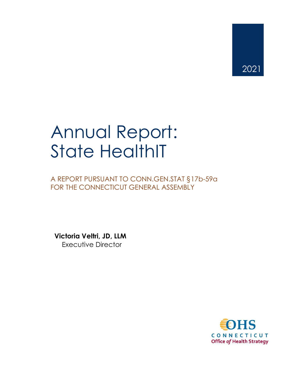# Annual Report: State HealthIT

A REPORT PURSUANT TO CONN.GEN.STAT §17b-59a FOR THE CONNECTICUT GENERAL ASSEMBLY

**Victoria Veltri, JD, LLM** Executive Director

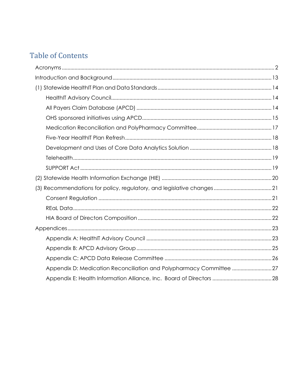# **Table of Contents**

| Appendix D: Medication Reconciliation and Polypharmacy Committee 27 |
|---------------------------------------------------------------------|
|                                                                     |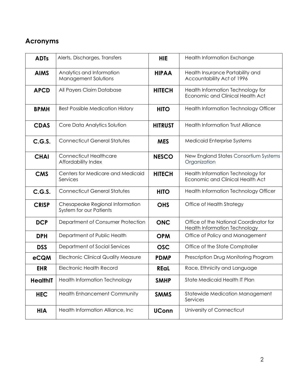## <span id="page-2-0"></span>**Acronyms**

| <b>ADTs</b>     | Alerts, Discharges, Transfers                                     | <b>HIE</b>     | Health Information Exchange                                                  |
|-----------------|-------------------------------------------------------------------|----------------|------------------------------------------------------------------------------|
| <b>AIMS</b>     | Analytics and Information<br><b>HIPAA</b><br>Management Solutions |                | Health Insurance Portability and<br>Accountability Act of 1996               |
| <b>APCD</b>     | All Payers Claim Database                                         | <b>HITECH</b>  | Health Information Technology for<br><b>Economic and Clinical Health Act</b> |
| <b>BPMH</b>     | <b>Best Possible Medication History</b>                           | <b>HITO</b>    | Health Information Technology Officer                                        |
| <b>CDAS</b>     | Core Data Analytics Solution                                      | <b>HITRUST</b> | <b>Health Information Trust Alliance</b>                                     |
| C.G.S.          | <b>Connecticut General Statutes</b>                               | <b>MES</b>     | <b>Medicaid Enterprise Systems</b>                                           |
| <b>CHAI</b>     | <b>Connecticut Healthcare</b><br>Affordability Index              | <b>NESCO</b>   | New England States Consortium Systems<br>Organization                        |
| <b>CMS</b>      | Centers for Medicare and Medicaid<br>Services                     | <b>HITECH</b>  | Health Information Technology for<br><b>Economic and Clinical Health Act</b> |
| C.G.S.          | <b>Connecticut General Statutes</b>                               | <b>HITO</b>    | Health Information Technology Officer                                        |
| <b>CRISP</b>    | Chesapeake Regional Information<br>System for our Patients        | <b>OHS</b>     | Office of Health Strategy                                                    |
| <b>DCP</b>      | Department of Consumer Protection                                 | <b>ONC</b>     | Office of the National Coordinator for<br>Health Information Technology      |
| <b>DPH</b>      | Department of Public Health                                       | <b>OPM</b>     | Office of Policy and Management                                              |
| <b>DSS</b>      | Department of Social Services                                     | <b>OSC</b>     | Office of the State Comptroller                                              |
| eCQM            | <b>Electronic Clinical Quality Measure</b>                        | <b>PDMP</b>    | Prescription Drug Monitoring Program                                         |
| <b>EHR</b>      | <b>Electronic Health Record</b>                                   | <b>REal</b>    | Race, Ethnicity and Language                                                 |
| <b>HealthIT</b> | Health Information Technology                                     | <b>SMHP</b>    | State Medicaid Health IT Plan                                                |
| <b>HEC</b>      | Health Enhancement Community                                      | <b>SMMS</b>    | Statewide Medication Management<br>Services                                  |
| <b>HIA</b>      | Health Information Alliance, Inc                                  | <b>UConn</b>   | University of Connecticut                                                    |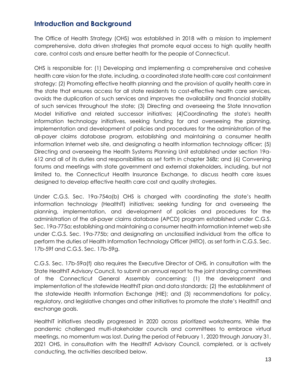## <span id="page-3-0"></span>**Introduction and Background**

The Office of Health Strategy (OHS) was established in 2018 with a mission to implement comprehensive, data driven strategies that promote equal access to high quality health care, control costs and ensure better health for the people of Connecticut.

OHS is responsible for: (1) Developing and implementing a comprehensive and cohesive health care vision for the state, including, a coordinated state health care cost containment strategy; (2) Promoting effective health planning and the provision of quality health care in the state that ensures access for all state residents to cost-effective health care services, avoids the duplication of such services and improves the availability and financial stability of such services throughout the state; (3) Directing and overseeing the State Innovation Model Initiative and related successor initiatives; (4)Coordinating the state's health information technology initiatives, seeking funding for and overseeing the planning, implementation and development of policies and procedures for the administration of the all-payer claims database program, establishing and maintaining a consumer health information Internet web site, and designating a health information technology officer; (5) Directing and overseeing the Health Systems Planning Unit established under section 19a-612 and all of its duties and responsibilities as set forth in chapter 368z; and (6) Convening forums and meetings with state government and external stakeholders, including, but not limited to, the Connecticut Health Insurance Exchange, to discuss health care issues designed to develop effective health care cost and quality strategies.

Under C.G.S. Sec. 19a-754a(b) OHS is charged with coordinating the state's health information technology (HealthIT) initiatives; seeking funding for and overseeing the planning, implementation, and development of policies and procedures for the administration of the all-payer claims database (APCD) program established under C.G.S. Sec. 19a-775a; establishing and maintaining a consumer health information Internet web site under C.G.S. Sec. 19a-775b; and designating an unclassified individual from the office to perform the duties of Health Information Technology Officer (HITO), as set forth in C.G.S. Sec. 17b-59f and C.G.S. Sec. 17b-59g.

C.G.S. Sec. 17b-59a(f) also requires the Executive Director of OHS, in consultation with the State HealthIT Advisory Council, to submit an annual report to the joint standing committees of the Connecticut General Assembly concerning: (1) the development and implementation of the statewide HealthIT plan and data standards; (2) the establishment of the statewide Health Information Exchange (HIE); and (3) recommendations for policy, regulatory, and legislative changes and other initiatives to promote the state's HealthIT and exchange goals.

HealthIT initiatives steadily progressed in 2020 across prioritized workstreams. While the pandemic challenged multi-stakeholder councils and committees to embrace virtual meetings, no momentum was lost. During the period of February 1, 2020 through January 31, 2021 OHS, in consultation with the HealthIT Advisory Council, completed, or is actively conducting, the activities described below.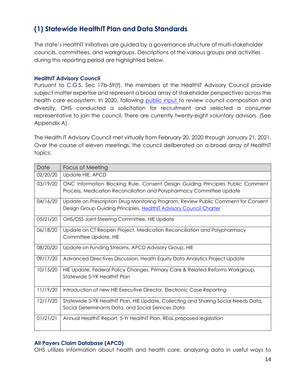## <span id="page-4-0"></span>**(1) Statewide HealthIT Plan and Data Standards**

The state's HealthIT initiatives are guided by a governance structure of multi-stakeholder councils, committees, and workgroups. Descriptions of the various groups and activities during this reporting period are highlighted below.

#### <span id="page-4-1"></span>**HealthIT Advisory Council**

Pursuant to C.G.S. Sec 17b-59(f), the members of the HealthIT Advisory Council provide subject matter expertise and represent a broad array of stakeholder perspectives across the health care ecosystem. In 2020, following [public input](https://portal.ct.gov/OHS/HIT-Work-Groups/Consent-Design-Group/Public-Input) to review council composition and diversity, OHS conducted a solicitation for recruitment and selected a consumer representative to join the council. There are currently twenty-eight voluntary advisors. (See Appendix A).

The Health IT Advisory Council met virtually from February 20, 2020 through January 21, 2021. Over the course of eleven meetings, the council deliberated on a broad array of HealthIT topics:

| Date     | Focus of Meeting                                                                    |
|----------|-------------------------------------------------------------------------------------|
| 02/20/20 | Update HIE, APCD                                                                    |
| 03/19/20 | ONC Information Blocking Rule, Consent Design Guiding Principles Public Comment     |
|          | Process, Medication Reconciliation and Polypharmacy Committee Update                |
| 04/16/20 | Update on Prescription Drug Monitoring Program, Review Public Comment for Consent   |
|          | Design Group Guiding Principles, HealthIT Advisory Council Charter                  |
| 05/21/20 | OHS/DSS Joint Steering Committee, HIE Update                                        |
| 06/18/20 | Update on CT Reopen Project, Medication Reconciliation and Polypharmacy             |
|          | Committee Update, HIE                                                               |
| 08/20/20 | Update on Funding Streams, APCD Advisory Group, HIE                                 |
| 09/17/20 | Advanced Directives Discussion, Health Equity Data Analytics Project Update         |
| 10/15/20 | HIE Update, Federal Policy Changes, Primary Care & Related Reforms Workgroup,       |
|          | Statewide 5-YR HealthIT Plan                                                        |
| 11/19/20 | Introduction of new HIE Executive Director, Electronic Case Reporting               |
| 12/17/20 | Statewide 5-YR Health I Plan, HIE Update, Collecting and Sharing Social Needs Data, |
|          | Social Determinants Data, and Social Services Data                                  |
| 01/21/21 | Annual HealthIT Report, 5-Yr HealthIT Plan, REaL proposed legislation               |

## <span id="page-4-2"></span>**All Payers Claim Database (APCD)**

OHS utilizes information about health and health care, analyzing data in useful ways to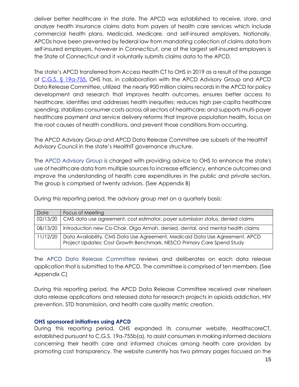deliver better healthcare in the state. The APCD was established to receive, store, and analyze health insurance claims data from payers of health care services which include commercial health plans, Medicaid, Medicare, and self-insured employers. Nationally, APCDs have been prevented by federal law from mandating collection of claims data from self-insured employers, however in Connecticut, one of the largest self-insured employers is the State of Connecticut and it voluntarily submits claims data to the APCD.

The state's APCD transferred from Access Health CT to OHS in 2019 as a result of the passage of C.G.S. [§ 19a-755.](https://www.cga.ct.gov/current/pub/chap_368ee.htm) OHS has, in collaboration with the APCD Advisory Group and APCD Data Release Committee, utilized the nearly 900 million claims records in the APCD for policy development and research that improves health outcomes, ensures better access to healthcare, identifies and addresses health inequities; reduces high per-capita healthcare spending, stabilizes consumer costs across all sectors of healthcare; and supports multi-payer healthcare payment and service delivery reforms that improve population health, focus on the root causes of health conditions, and prevent those conditions from occurring.

The APCD Advisory Group and APCD Data Release Committee are subsets of the HealthIT Advisory Council in the state's HealthIT governance structure.

The APCD Advisory Group is charged with providing advice to OHS to enhance the state's use of healthcare data from multiple sources to increase efficiency, enhance outcomes and improve the understanding of health care expenditures in the public and private sectors. The group is comprised of twenty advisors. (See Appendix B)

During this reporting period, the advisory group met on a quarterly basis:

| Date     | Focus of Meeting                                                                                                                                       |
|----------|--------------------------------------------------------------------------------------------------------------------------------------------------------|
| 02/13/20 | CMS data use agreement, cost estimator, payer submission status, denied claims                                                                         |
| 08/13/20 | Introduction new Co-Chair, Olga Armah, denied, dental, and mental health claims                                                                        |
| 11/12/20 | Data Availability, CMS Data Use Agreement, Medicaid Data Use Agreement, APCD<br>Project Updates: Cost Growth Benchmark, NESCO Primary Care Spend Study |

The APCD Data Release Committee reviews and deliberates on each data release application that is submitted to the APCD. The committee is comprised of ten members. (See Appendix C)

During this reporting period, the APCD Data Release Committee received over nineteen data release applications and released data for research projects in opioids addiction, HIV prevention, STD transmission, and health care quality metric creation.

## <span id="page-5-0"></span>**OHS sponsored initiatives using APCD**

During this reporting period, OHS expanded its consumer website, HealthscoreCT, established pursuant to C.G.S. 19a-755b(a), to assist consumers in making informed decisions concerning their health care and informed choices among health care providers by promoting cost transparency. The website currently has two primary pages focused on the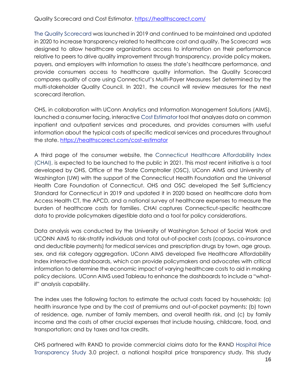Quality Scorecard and Cost Estimator.<https://healthscorect.com/>

The Quality Scorecard was launched in 2019 and continued to be maintained and updated in 2020 to increase transparency related to healthcare cost and quality. The Scorecard was designed to allow healthcare organizations access to information on their performance relative to peers to drive quality improvement through transparency, provide policy makers, payers, and employers with information to assess the state's healthcare performance, and provide consumers access to healthcare quality information. The Quality Scorecard compares quality of care using Connecticut's Multi-Payer Measures Set determined by the multi-stakeholder Quality Council. In 2021, the council will review measures for the next scorecard iteration.

OHS, in collaboration with UConn Analytics and Information Management Solutions (AIMS), launched a consumer facing, interactive Cost Estimator tool that analyzes data on common inpatient and outpatient services and procedures, and provides consumers with useful information about the typical costs of specific medical services and procedures throughout the state.<https://healthscorect.com/cost-estimator>

A third page of the consumer website, the Connecticut Healthcare Affordability Index (CHAI), is expected to be launched to the public in 2021. This most recent initiative is a tool developed by OHS, Office of the State Comptroller (OSC), UConn AIMS and University of Washington (UW) with the support of the Connecticut Health Foundation and the Universal Health Care Foundation of Connecticut. OHS and OSC developed the Self Sufficiency Standard for Connecticut in 2019 and updated it in 2020 based on healthcare data from Access Health CT, the APCD, and a national survey of healthcare expenses to measure the burden of healthcare costs for families. CHAI captures Connecticut-specific healthcare data to provide policymakers digestible data and a tool for policy considerations.

Data analysis was conducted by the University of Washington School of Social Work and UCONN AIMS to risk-stratify individuals and total out-of-pocket costs (copays, co-insurance and deductible payments) for medical services and prescription drugs by town, age group, sex, and risk category aggregation. UConn AIMS developed five Healthcare Affordability Index interactive dashboards, which can provide policymakers and advocates with critical information to determine the economic impact of varying healthcare costs to aid in making policy decisions. UConn AIMS used Tableau to enhance the dashboards to include a "whatif" analysis capability.

The index uses the following factors to estimate the actual costs faced by households: (a) health insurance type and by the cost of premiums and out-of-pocket payments; (b) town of residence, age, number of family members, and overall health risk, and (c) by family income and the costs of other crucial expenses that include housing, childcare, food, and transportation; and by taxes and tax credits.

OHS partnered with RAND to provide commercial claims data for the RAND Hospital Price Transparency Study 3.0 project, a national hospital price transparency study. This study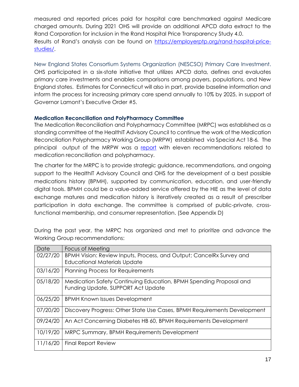measured and reported prices paid for hospital care benchmarked against Medicare charged amounts. During 2021 OHS will provide an additional APCD data extract to the Rand Corporation for inclusion in the Rand Hospital Price Transparency Study 4.0. Results of Rand's analysis can be found on [https://employerptp.org/rand-hospital-price](https://employerptp.org/rand-hospital-price-studies/)[studies/.](https://employerptp.org/rand-hospital-price-studies/)

New England States Consortium Systems Organization (NESCSO) Primary Care Investment. OHS participated in a six-state initiative that utilizes APCD data, defines and evaluates primary care investments and enables comparisons among payers, populations, and New England states. Estimates for Connecticut will also in part, provide baseline information and inform the process for increasing primary care spend annually to 10% by 2025, in support of Governor Lamont's Executive Order #5.

## <span id="page-7-0"></span>**Medication Reconciliation and PolyPharmacy Committee**

The Medication Reconciliation and Polypharmacy Committee (MRPC) was established as a standing committee of the HealthIT Advisory Council to continue the work of the Medication Reconciliation Polypharmacy Working Group (MRPW) established via Special Act 18-6*.* The principal output of the MRPW was a [report](https://portal.ct.gov/-/media/OHS/Health-IT-Advisory-Council/MRP/Final-Recoms-Med-Rec.pdf) with eleven recommendations related to medication reconciliation and polypharmacy.

The charter for the MRPC is to provide strategic guidance, recommendations, and ongoing support to the HealthIT Advisory Council and OHS for the development of a best possible medications history (BPMH), supported by communication, education, and user-friendly digital tools. BPMH could be a value-added service offered by the HIE as the level of data exchange matures and medication history is iteratively created as a result of prescriber participation in data exchange. The committee is comprised of public-private, crossfunctional membership, and consumer representation. (See Appendix D)

| Date     | Focus of Meeting                                                         |
|----------|--------------------------------------------------------------------------|
| 02/27/20 | BPMH Vision: Review Inputs, Process, and Output; CancelRx Survey and     |
|          | <b>Educational Materials Update</b>                                      |
| 03/16/20 | <b>Planning Process for Requirements</b>                                 |
| 05/18/20 | Medication Safety Continuing Education, BPMH Spending Proposal and       |
|          | Funding Update, SUPPORT Act Update                                       |
| 06/25/20 | <b>BPMH Known Issues Development</b>                                     |
| 07/20/20 | Discovery Progress: Other State Use Cases, BPMH Requirements Development |
| 09/24/20 | An Act Concerning Diabetes HB 60, BPMH Requirements Development          |
| 10/19/20 | MRPC Summary, BPMH Requirements Development                              |
| 11/16/20 | <b>Final Report Review</b>                                               |

During the past year, the MRPC has organized and met to prioritize and advance the Working Group recommendations: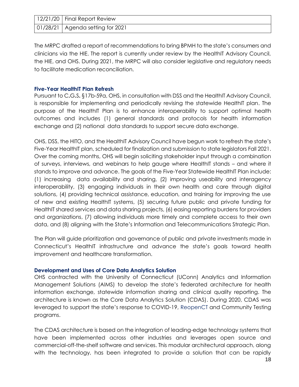| 12/21/20   Final Report Review     |
|------------------------------------|
| 01/28/21   Agenda setting for 2021 |

The MRPC drafted a report of recommendations to bring BPMH to the state's consumers and clinicians via the HIE. The report is currently under review by the HealthIT Advisory Council, the HIE, and OHS. During 2021, the MRPC will also consider legislative and regulatory needs to facilitate medication reconciliation.

#### <span id="page-8-0"></span>**Five-Year HealthIT Plan Refresh**

Pursuant to C**.**G**.**S**.** §17b-59a, OHS, in consultation with DSS and the HealthIT Advisory Council, is responsible for implementing and periodically revising the statewide HealthIT plan. The purpose of the HealthIT Plan is to enhance interoperability to support optimal health outcomes and includes (1) general standards and protocols for health information exchange and (2) national data standards to support secure data exchange.

OHS, DSS, the HITO, and the HealthIT Advisory Council have begun work to refresh the state's Five-Year HealthIT plan, scheduled for finalization and submission to state legislators Fall 2021. Over the coming months, OHS will begin soliciting stakeholder input through a combination of surveys, interviews, and webinars to help gauge where HealthIT stands – and where it stands to improve and advance. The goals of the Five-Year Statewide HealthIT Plan include: (1) increasing data availability and sharing, (2) improving useability and interagency interoperability, (3) engaging individuals in their own health and care through digital solutions, (4) providing technical assistance, education, and training for improving the use of new and existing HealthIT systems, (5) securing future public and private funding for HealthIT shared services and data sharing projects, (6) easing reporting burdens for providers and organizations, (7) allowing individuals more timely and complete access to their own data, and (8) aligning with the State's Information and Telecommunications Strategic Plan.

The Plan will guide prioritization and governance of public and private investments made in Connecticut's HealthIT infrastructure and advance the state's goals toward health improvement and healthcare transformation.

## <span id="page-8-1"></span>**Development and Uses of Core Data Analytics Solution**

OHS contracted with the University of Connecticut (UConn) Analytics and Information Management Solutions (AIMS) to develop the state's federated architecture for health information exchange, statewide information sharing and clinical quality reporting. The architecture is known as the Core Data Analytics Solution (CDAS). During 2020, CDAS was leveraged to support the state's response to COVID-19, ReopenCT and Community Testing programs.

The CDAS architecture is based on the integration of leading-edge technology systems that have been implemented across other industries and leverages open source and commercial-off-the-shelf software and services. This modular architectural approach, along with the technology, has been integrated to provide a solution that can be rapidly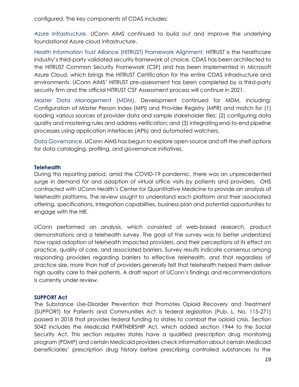Azure Infrastructure. UConn AIMS continued to build out and improve the underlying foundational Azure cloud infrastructure.

Health Information Trust Alliance (HITRUST) Framework Alignment. HITRUST is the healthcare industry's third-party validated security framework of choice. CDAS has been architected to the HITRUST Common Security Framework (CSF) and has been implemented in Microsoft Azure Cloud, which brings the HITRUST Certification for the entire CDAS infrastructure and environments. UConn AIMS' HITRUST pre-assessment has been completed by a third-party security firm and the official HITRUST CSF Assessment process will continue in 2021.

Master Data Management (MDM). Development continued for MDM, including: Configuration of Master Person Index (MPI) and Provider Registry (MPR) and match for (1) loading various sources of provider data and sample stakeholder files; (2) configuring data quality and mastering rules and address verification; and (3) integrating end-to-end pipeline processes using application interfaces (APIs) and automated watchers.

Data Governance. UConn AIMS has begun to explore open-source and off-the-shelf options for data cataloging, profiling, and governance initiatives.

## <span id="page-9-0"></span>**Telehealth**

During this reporting period, amid the COVID-19 pandemic, there was an unprecedented surge in demand for and adoption of virtual office visits by patients and providers. OHS contracted with UConn Health's Center for Quantitative Medicine to provide an analysis of telehealth platforms. The review sought to understand each platform and their associated offering, specifications, integration capabilities, business plan and potential opportunities to engage with the HIE.

UConn performed an analysis, which consisted of web-based research, product demonstrations and a telehealth survey. The goal of the survey was to better understand how rapid adoption of telehealth impacted providers, and their perceptions of its effect on practice, quality of care, and associated barriers. Survey results indicate consensus among responding providers regarding barriers to effective telehealth, and that regardless of practice size, more than half of providers generally felt that telehealth helped them deliver high quality care to their patients. A draft report of UConn's findings and recommendations is currently under review.

## <span id="page-9-1"></span>**SUPPORT Act**

The Substance Use-Disorder Prevention that Promotes Opioid Recovery and Treatment (SUPPORT) for Patients and Communities Act, is federal legislation (Pub. L. No. 115-271) passed in 2018 that provides federal funding to states to combat the opioid crisis. Section 5042 includes the Medicaid PARTNERSHIP Act, which added section 1944 to the Social Security Act. This section requires states have a qualified prescription drug monitoring program (PDMP) and certain Medicaid providers check information about certain Medicaid beneficiaries' prescription drug history before prescribing controlled substances to the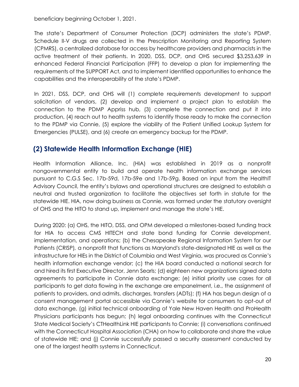beneficiary beginning October 1, 2021.

The state's Department of Consumer Protection (DCP) administers the state's PDMP. Schedule II-V drugs are collected in the Prescription Monitoring and Reporting System (CPMRS), a centralized database for access by healthcare providers and pharmacists in the active treatment of their patients. In 2020, DSS, DCP, and OHS secured \$3,253,639 in enhanced Federal Financial Participation (FFP) to develop a plan for implementing the requirements of the SUPPORT Act, and to implement identified opportunities to enhance the capabilities and the interoperability of the state's PDMP.

In 2021, DSS, DCP, and OHS will (1) complete requirements development to support solicitation of vendors, (2) develop and implement a project plan to establish the connection to the PDMP Appriss hub, (3) complete the connection and put it into production, (4) reach out to health systems to identify those ready to make the connection to the PDMP via Connie, (5) explore the viability of the Patient Unified Lookup System for Emergencies (PULSE), and (6) create an emergency backup for the PDMP.

## <span id="page-10-0"></span>**(2) Statewide Health Information Exchange (HIE)**

Health Information Alliance, Inc. (HIA) was established in 2019 as a nonprofit nongovernmental entity to build and operate health information exchange services pursuant to C.G.S Sec. 17b-59d, 17b-59e and 17b-59g. Based on input from the HealthIT Advisory Council, the entity's bylaws and operational structures are designed to establish a neutral and trusted organization to facilitate the objectives set forth in statute for the statewide HIE. HIA, now doing business as Connie, was formed under the statutory oversight of OHS and the HITO to stand up, implement and manage the state's HIE.

During 2020: (a) OHS, the HITO, DSS, and OPM developed a milestones-based funding track for HIA to access CMS HITECH and state bond funding for Connie development, implementation, and operations; (b) the Chesapeake Regional Information System for our Patients (CRISP)*,* a nonprofit that functions as Maryland's state-designated HIE as well as the infrastructure for HIEs in the District of Columbia and West Virginia, was procured as Connie's health information exchange vendor; (c) the HIA board conducted a national search for and hired its first Executive Director, Jenn Searls; (d) eighteen new organizations signed data agreements to participate in Connie data exchange; (e) initial priority use cases for all participants to get data flowing in the exchange are empanelment, i.e., the assignment of patients to providers, and admits, discharges, transfers (ADTs); (f) HIA has begun design of a consent management portal accessible via Connie's website for consumers to opt-out of data exchange, (g) initial technical onboarding of Yale New Haven Health and ProHealth Physicians participants has begun; (h) legal onboarding continues with the Connecticut State Medical Society's CTHealthLink HIE participants to Connie; (i) conversations continued with the Connecticut Hospital Association (CHA) on how to collaborate and share the value of statewide HIE; and (j) Connie successfully passed a security assessment conducted by one of the largest health systems in Connecticut.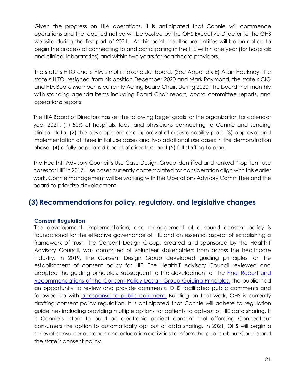Given the progress on HIA operations, it is anticipated that Connie will commence operations and the required notice will be posted by the OHS Executive Director to the OHS website during the first part of 2021. At this point, healthcare entities will be on notice to begin the process of connecting to and participating in the HIE within one year (for hospitals and clinical laboratories) and within two years for healthcare providers.

The state's HITO chairs HIA's multi-stakeholder board. (See Appendix E) Allan Hackney, the state's HITO, resigned from his position December 2020 and Mark Raymond, the state's CIO and HIA Board Member, is currently Acting Board Chair. During 2020, the board met monthly with standing agenda items including Board Chair report, board committee reports, and operations reports.

The HIA Board of Directors has set the following target goals for the organization for calendar year 2021: (1) 50% of hospitals, labs, and physicians connecting to Connie and sending clinical data, (2) the development and approval of a sustainability plan, (3) approval and implementation of three initial use cases and two additional use cases in the demonstration phase, (4) a fully populated board of directors, and (5) full staffing to plan.

The HealthIT Advisory Council's Use Case Design Group identified and ranked "Top Ten" use cases for HIE in 2017. Use cases currently contemplated for consideration align with this earlier work. Connie management will be working with the Operations Advisory Committee and the board to prioritize development.

## <span id="page-11-0"></span>**(3) Recommendations for policy, regulatory, and legislative changes**

## <span id="page-11-1"></span>**Consent Regulation**

The development, implementation, and management of a sound consent policy is foundational for the effective governance of HIE and an essential aspect of establishing a framework of trust. The Consent Design Group, created and sponsored by the HealthIT Advisory Council, was comprised of volunteer stakeholders from across the healthcare industry. In 2019, the Consent Design Group developed guiding principles for the establishment of consent policy for HIE. The HealthIT Advisory Council reviewed and adopted the guiding principles. Subsequent to the development of the **Final Report and** [Recommendations of the Consent Policy Design Group Guiding Principles,](https://portal.ct.gov/-/media/OHS/Health-IT-Advisory-Council/Reports/OHS_Consent-Design-Group_Final-Report_2020.pdf) the public had an opportunity to review and provide comments. OHS facilitated public comments and followed up with [a response to public comment.](https://portal.ct.gov/-/media/OHS/Health-IT-Advisory-Council/Design-Groups/Consent-Design-Public-Comment/OHS_Consent_GPs_Response_to_Comments_Draft-07022020.pdf) Building on that work, OHS is currently drafting consent policy regulation. It is anticipated that Connie will adhere to regulation guidelines including providing multiple options for patients to opt-out of HIE data sharing. It is Connie's intent to build an electronic patient consent tool affording Connecticut consumers the option to automatically opt out of data sharing. In 2021, OHS will begin a series of consumer outreach and education activities to inform the public about Connie and the state's consent policy.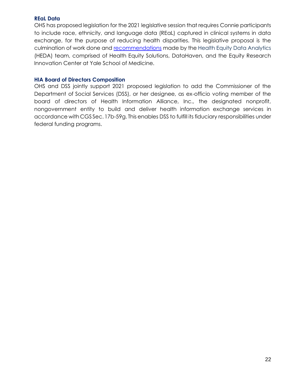#### <span id="page-12-0"></span>**REaL Data**

OHS has proposed legislation for the 2021 legislative session that requires Connie participants to include race, ethnicity, and language data (REaL) captured in clinical systems in data exchange, for the purpose of reducing health disparities. This legislative proposal is the culmination of work done and [recommendations](https://portal.ct.gov/-/media/OHS/docs/HEDA-Recommendations_-Sept2020.pdf) made by the Health Equity Data Analytics (HEDA) team, comprised of Health Equity Solutions, DataHaven, and the Equity Research Innovation Center at Yale School of Medicine.

#### <span id="page-12-1"></span>**HIA Board of Directors Composition**

OHS and DSS jointly support 2021 proposed legislation to add the Commissioner of the Department of Social Services (DSS), or her designee, as ex-officio voting member of the board of directors of Health Information Alliance, Inc., the designated nonprofit, nongovernment entity to build and deliver health information exchange services in accordance with CGS Sec.17b-59g. This enables DSS to fulfill its fiduciary responsibilities under federal funding programs.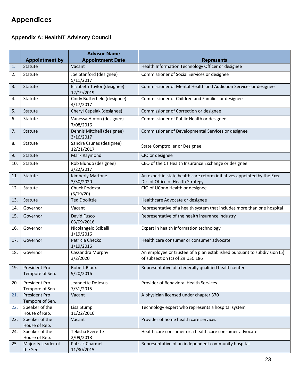## <span id="page-13-0"></span>**Appendices**

## <span id="page-13-1"></span>**Appendix A: HealthIT Advisory Council**

|                |                                  | <b>Advisor Name</b>                       |                                                                                                               |
|----------------|----------------------------------|-------------------------------------------|---------------------------------------------------------------------------------------------------------------|
|                | <b>Appointment by</b>            | <b>Appointment Date</b>                   | <b>Represents</b>                                                                                             |
| $\mathbf{1}$ . | Statute                          | Vacant                                    | Health Information Technology Officer or designee                                                             |
| 2.             | Statute                          | Joe Stanford (designee)<br>5/11/2017      | Commissioner of Social Services or designee                                                                   |
| 3.             | Statute                          | Elizabeth Taylor (designee)<br>12/19/2019 | Commissioner of Mental Health and Addiction Services or designee                                              |
| 4.             | Statute                          | Cindy Butterfield (designee)<br>4/17/2017 | Commissioner of Children and Families or designee                                                             |
| 5.             | Statute                          | Cheryl Cepelak (designee)                 | Commissioner of Correction or designee                                                                        |
| 6.             | Statute                          | Vanessa Hinton (designee)<br>7/08/2016    | Commissioner of Public Health or designee                                                                     |
| 7.             | Statute                          | Dennis Mitchell (designee)<br>3/16/2017   | Commissioner of Developmental Services or designee                                                            |
| 8.             | Statute                          | Sandra Czunas (designee)<br>12/21/2017    | State Comptroller or Designee                                                                                 |
| 9.             | Statute                          | Mark Raymond                              | CIO or designee                                                                                               |
| 10.            | Statute                          | Rob Blundo (designee)<br>3/22/2017        | CEO of the CT Health Insurance Exchange or designee                                                           |
| 11.            | Statute                          | <b>Kimberly Martone</b><br>3/30/2020      | An expert in state health care reform initiatives appointed by the Exec.<br>Dir. of Office of Health Strategy |
| 12.            | Statute                          | Chuck Podesta<br>(3/19/20)                | CIO of UConn Health or designee                                                                               |
| 13.            | Statute                          | <b>Ted Doolittle</b>                      | Healthcare Advocate or designee                                                                               |
| 14.            | Governor                         | Vacant                                    | Representative of a health system that includes more than one hospital                                        |
| 15.            | Governor                         | David Fusco<br>03/09/2016                 | Representative of the health insurance industry                                                               |
| 16.            | Governor                         | Nicolangelo Scibelli<br>1/19/2016         | Expert in health information technology                                                                       |
| 17.            | Governor                         | Patricia Checko<br>1/19/2016              | Health care consumer or consumer advocate                                                                     |
| 18.            | Governor                         | Cassandra Murphy<br>3/2/2020              | An employee or trustee of a plan established pursuant to subdivision (5)<br>of subsection (c) of 29 USC 186   |
| 19.            | President Pro<br>Tempore of Sen. | <b>Robert Rioux</b><br>9/20/2016          | Representative of a federally qualified health center                                                         |
| 20.            | President Pro<br>Tempore of Sen. | Jeannette DeJesus<br>7/31/2015            | Provider of Behavioral Health Services                                                                        |
| 21.            | President Pro<br>Tempore of Sen. | Vacant                                    | A physician licensed under chapter 370                                                                        |
| 22.            | Speaker of the<br>House of Rep.  | Lisa Stump<br>11/22/2016                  | Technology expert who represents a hospital system                                                            |
| 23.            | Speaker of the<br>House of Rep.  | Vacant                                    | Provider of home health care services                                                                         |
| 24.            | Speaker of the<br>House of Rep.  | Tekisha Everette<br>2/09/2018             | Health care consumer or a health care consumer advocate                                                       |
| 25.            | Majority Leader of<br>the Sen.   | Patrick Charmel<br>11/30/2015             | Representative of an independent community hospital                                                           |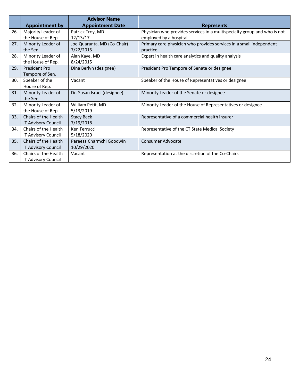|     |                       | <b>Advisor Name</b>         |                                                                          |
|-----|-----------------------|-----------------------------|--------------------------------------------------------------------------|
|     | <b>Appointment by</b> | <b>Appointment Date</b>     | <b>Represents</b>                                                        |
| 26. | Majority Leader of    | Patrick Troy, MD            | Physician who provides services in a multispecialty group and who is not |
|     | the House of Rep.     | 12/13/17                    | employed by a hospital                                                   |
| 27. | Minority Leader of    | Joe Quaranta, MD (Co-Chair) | Primary care physician who provides services in a small independent      |
|     | the Sen.              | 7/22/2015                   | practice                                                                 |
| 28. | Minority Leader of    | Alan Kaye, MD               | Expert in health care analytics and quality analysis                     |
|     | the House of Rep.     | 8/24/2015                   |                                                                          |
| 29. | President Pro         | Dina Berlyn (designee)      | President Pro Tempore of Senate or designee                              |
|     | Tempore of Sen.       |                             |                                                                          |
| 30. | Speaker of the        | Vacant                      | Speaker of the House of Representatives or designee                      |
|     | House of Rep.         |                             |                                                                          |
| 31. | Minority Leader of    | Dr. Susan Israel (designee) | Minority Leader of the Senate or designee                                |
|     | the Sen.              |                             |                                                                          |
| 32. | Minority Leader of    | William Petit, MD           | Minority Leader of the House of Representatives or designee              |
|     | the House of Rep.     | 5/13/2019                   |                                                                          |
| 33. | Chairs of the Health  | <b>Stacy Beck</b>           | Representative of a commercial health insurer                            |
|     | IT Advisory Council   | 7/19/2018                   |                                                                          |
| 34. | Chairs of the Health  | Ken Ferrucci                | Representative of the CT State Medical Society                           |
|     | IT Advisory Council   | 5/18/2020                   |                                                                          |
| 35. | Chairs of the Health  | Pareesa Charmchi Goodwin    | Consumer Advocate                                                        |
|     | IT Advisory Council   | 10/29/2020                  |                                                                          |
| 36. | Chairs of the Health  | Vacant                      | Representation at the discretion of the Co-Chairs                        |
|     | IT Advisory Council   |                             |                                                                          |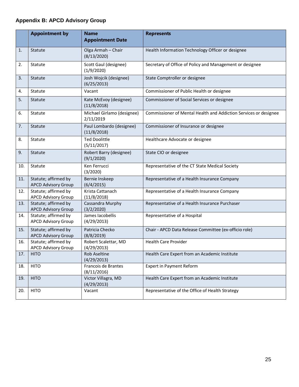## <span id="page-15-0"></span>**Appendix B: APCD Advisory Group**

|     | <b>Appointment by</b>                              | <b>Name</b><br><b>Appointment Date</b>  | <b>Represents</b>                                                |
|-----|----------------------------------------------------|-----------------------------------------|------------------------------------------------------------------|
| 1.  | Statute                                            | Olga Armah - Chair<br>(8/13/2020)       | Health Information Technology Officer or designee                |
| 2.  | Statute                                            | Scott Gaul (designee)<br>(1/9/2020)     | Secretary of Office of Policy and Management or designee         |
| 3.  | Statute                                            | Josh Wojcik (designee)<br>(6/25/2013)   | State Comptroller or designee                                    |
| 4.  | Statute                                            | Vacant                                  | Commissioner of Public Health or designee                        |
| 5.  | Statute                                            | Kate McEvoy (designee)<br>(11/8/2018)   | Commissioner of Social Services or designee                      |
| 6.  | Statute                                            | Michael Girlamo (designee)<br>2/11/2019 | Commissioner of Mental Health and Addiction Services or designee |
| 7.  | Statute                                            | Paul Lombardo (designee)<br>(11/8/2018) | Commissioner of Insurance or designee                            |
| 8.  | Statute                                            | <b>Ted Doolittle</b><br>(5/11/2017)     | Healthcare Advocate or designee                                  |
| 9.  | Statute                                            | Robert Barry (designee)<br>(9/1/2020)   | State CIO or designee                                            |
| 10. | Statute                                            | Ken Ferrucci<br>(3/2020)                | Representative of the CT State Medical Society                   |
| 11. | Statute; affirmed by<br><b>APCD Advisory Group</b> | Bernie Inskeep<br>(6/4/2015)            | Representative of a Health Insurance Company                     |
| 12. | Statute; affirmed by<br><b>APCD Advisory Group</b> | Krista Cattanach<br>(11/8/2018)         | Representative of a Health Insurance Company                     |
| 13. | Statute; affirmed by<br><b>APCD Advisory Group</b> | Cassandra Murphy<br>(3/2/2020)          | Representative of a Health Insurance Purchaser                   |
| 14. | Statute; affirmed by<br><b>APCD Advisory Group</b> | James Iacobellis<br>(4/29/2013)         | Representative of a Hospital                                     |
| 15. | Statute; affirmed by<br><b>APCD Advisory Group</b> | Patricia Checko<br>(8/8/2019)           | Chair - APCD Data Release Committee (ex-officio role)            |
| 16. | Statute; affirmed by<br><b>APCD Advisory Group</b> | Robert Scalettar, MD<br>(4/29/2013)     | <b>Health Care Provider</b>                                      |
| 17. | <b>HITO</b>                                        | Rob Aseltine<br>(4/29/2013)             | Health Care Expert from an Academic Institute                    |
| 18. | <b>HITO</b>                                        | Francois de Brantes<br>(8/11/2016)      | <b>Expert in Payment Reform</b>                                  |
| 19. | <b>HITO</b>                                        | Victor Villagra, MD<br>(4/29/2013)      | Health Care Expert from an Academic Institute                    |
| 20. | <b>HITO</b>                                        | Vacant                                  | Representative of the Office of Health Strategy                  |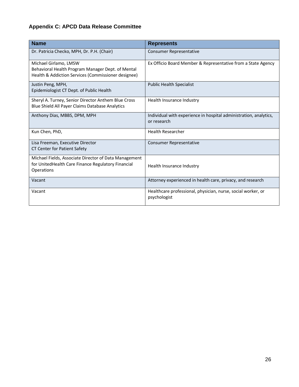## <span id="page-16-0"></span>**Appendix C: APCD Data Release Committee**

| <b>Name</b>                                                                                                                       | <b>Represents</b>                                                                |
|-----------------------------------------------------------------------------------------------------------------------------------|----------------------------------------------------------------------------------|
| Dr. Patricia Checko, MPH, Dr. P.H. (Chair)                                                                                        | <b>Consumer Representative</b>                                                   |
| Michael Girlamo, LMSW<br>Behavioral Health Program Manager Dept. of Mental<br>Health & Addiction Services (Commissioner designee) | Ex Officio Board Member & Representative from a State Agency                     |
| Justin Peng, MPH,<br>Epidemiologist CT Dept. of Public Health                                                                     | <b>Public Health Specialist</b>                                                  |
| Sheryl A. Turney, Senior Director Anthem Blue Cross<br>Blue Shield All Payer Claims Database Analytics                            | Health Insurance Industry                                                        |
| Anthony Dias, MBBS, DPM, MPH                                                                                                      | Individual with experience in hospital administration, analytics,<br>or research |
| Kun Chen, PhD,                                                                                                                    | <b>Health Researcher</b>                                                         |
| Lisa Freeman, Executive Director<br><b>CT Center for Patient Safety</b>                                                           | Consumer Representative                                                          |
| Michael Fields, Associate Director of Data Management<br>for UnitedHealth Care Finance Regulatory Financial<br>Operations         | Health Insurance Industry                                                        |
| Vacant                                                                                                                            | Attorney experienced in health care, privacy, and research                       |
| Vacant                                                                                                                            | Healthcare professional, physician, nurse, social worker, or<br>psychologist     |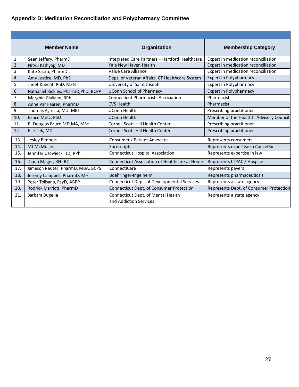## <span id="page-17-0"></span>**Appendix D: Medication Reconciliation and Polypharmacy Committee**

|     | <b>Member Name</b>                   | Organization                                                 | <b>Membership Category</b>              |
|-----|--------------------------------------|--------------------------------------------------------------|-----------------------------------------|
| 1.  | Sean Jeffery, PharmD                 | Integrated Care Partners - Hartford Healthcare               | Expert in medication reconciliation     |
| 2.  | Nityu Kashyap, MD                    | Yale New Haven Health                                        | Expert in medication reconciliation     |
| 3.  | Kate Sacro, PharmD                   | Value Care Alliance                                          | Expert in medication reconciliation     |
| 4.  | Amy Justice, MD, PhD                 | Dept. of Veteran Affairs, CT Healthcare System               | <b>Expert in Polypharmacy</b>           |
| 5.  | Janet Knecht, PhD, MSN               | University of Saint Joseph                                   | <b>Expert in Polypharmacy</b>           |
| 6.  | Nathaniel Rickles, PharmD, PhD, BCPP | <b>UConn School of Pharmacy</b>                              | <b>Expert in Polypharmacy</b>           |
| 7.  | Marghie Giuliano, RPh                | <b>Connecticut Pharmacists Association</b>                   | Pharmacist                              |
| 8.  | Anne VanHaaren, PharmD               | <b>CVS Health</b>                                            | Pharmacist                              |
| 9.  | Thomas Agresta, MD, MBI              | <b>UConn Health</b>                                          | Prescribing practitioner                |
| 10. | Bruce Metz, PhD                      | <b>UConn Health</b>                                          | Member of the HealthIT Advisory Council |
| 11. | R. Douglas Bruce, MD, MA, MSc        | Cornell Scott-Hill Health Center                             | Prescribing practitioner                |
| 12. | Ece Tek, MD                          | Cornell Scott-Hill Health Center                             | Prescribing practitioner                |
| 13. | Lesley Bennett                       | Consumer / Patient Advocate                                  | Represents consumers                    |
| 14. | MJ McMullen                          | Surescripts                                                  | Represents expertise in CancelRx        |
| 15. | Jennifer Osowiecki, JD, RPh          | <b>Connecticut Hospital Association</b>                      | Represents expertise in law             |
| 16. | Diana Mager, RN-BC                   | Connecticut Association of Healthcare at Home                | Represents LTPAC / Hospice              |
| 17. | Jameson Reuter, PharmD, MBA, BCPS    | ConnectiCare                                                 | Represents payers                       |
| 18. | Jeremy Campbell, PharmD, MHI         | Boehringer-Ingelheim                                         | Represents pharmaceuticals              |
| 19. | Peter Tolisano, PsyD, ABPP           | Connecticut Dept. of Developmental Services                  | Represents a state agency               |
| 20. | Rodrick Marriott, PharmD             | Connecticut Dept. of Consumer Protection                     | Represents Dept. of Consumer Protection |
| 21. | Barbara Bugella                      | Connecticut Dept. of Mental Health<br>and Addiction Services | Represents a state agency               |